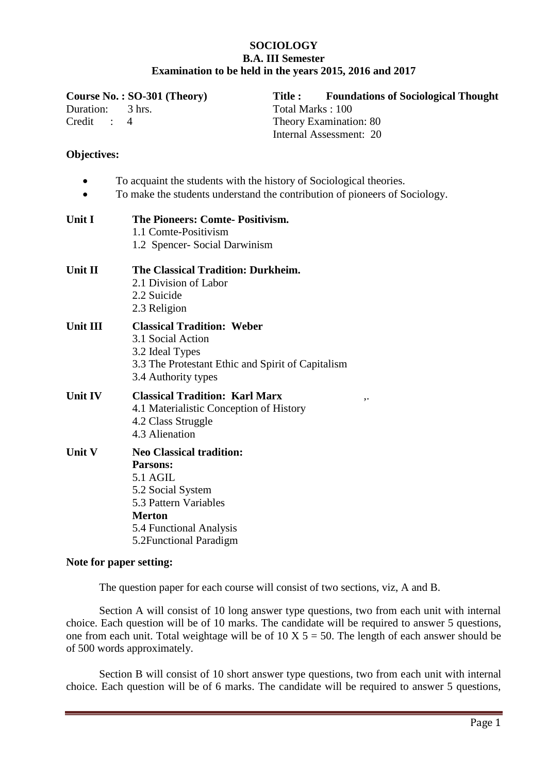## **SOCIOLOGY B.A. III Semester Examination to be held in the years 2015, 2016 and 2017**

| Duration:<br>Credit<br>$\mathbb{R}^2$ | Course No.: SO-301 (Theory)<br>$3$ hrs.<br>4                                                                                                                                               | <b>Title:</b><br>Total Marks: 100 | <b>Foundations of Sociological Thought</b><br>Theory Examination: 80<br>Internal Assessment: 20 |
|---------------------------------------|--------------------------------------------------------------------------------------------------------------------------------------------------------------------------------------------|-----------------------------------|-------------------------------------------------------------------------------------------------|
| <b>Objectives:</b>                    |                                                                                                                                                                                            |                                   |                                                                                                 |
|                                       | To acquaint the students with the history of Sociological theories.<br>To make the students understand the contribution of pioneers of Sociology.                                          |                                   |                                                                                                 |
| Unit I                                | The Pioneers: Comte-Positivism.<br>1.1 Comte-Positivism<br>1.2 Spencer- Social Darwinism                                                                                                   |                                   |                                                                                                 |
| Unit II                               | The Classical Tradition: Durkheim.<br>2.1 Division of Labor<br>2.2 Suicide<br>2.3 Religion                                                                                                 |                                   |                                                                                                 |
| Unit III                              | <b>Classical Tradition: Weber</b><br>3.1 Social Action<br>3.2 Ideal Types<br>3.3 The Protestant Ethic and Spirit of Capitalism<br>3.4 Authority types                                      |                                   |                                                                                                 |
| Unit IV                               | <b>Classical Tradition: Karl Marx</b><br>4.1 Materialistic Conception of History<br>4.2 Class Struggle<br>4.3 Alienation                                                                   |                                   | ,.                                                                                              |
| Unit V                                | <b>Neo Classical tradition:</b><br><b>Parsons:</b><br><b>5.1 AGIL</b><br>5.2 Social System<br>5.3 Pattern Variables<br><b>Merton</b><br>5.4 Functional Analysis<br>5.2 Functional Paradigm |                                   |                                                                                                 |

## **Note for paper setting:**

The question paper for each course will consist of two sections, viz, A and B.

Section A will consist of 10 long answer type questions, two from each unit with internal choice. Each question will be of 10 marks. The candidate will be required to answer 5 questions, one from each unit. Total weightage will be of  $10 \text{ X } 5 = 50$ . The length of each answer should be of 500 words approximately.

Section B will consist of 10 short answer type questions, two from each unit with internal choice. Each question will be of 6 marks. The candidate will be required to answer 5 questions,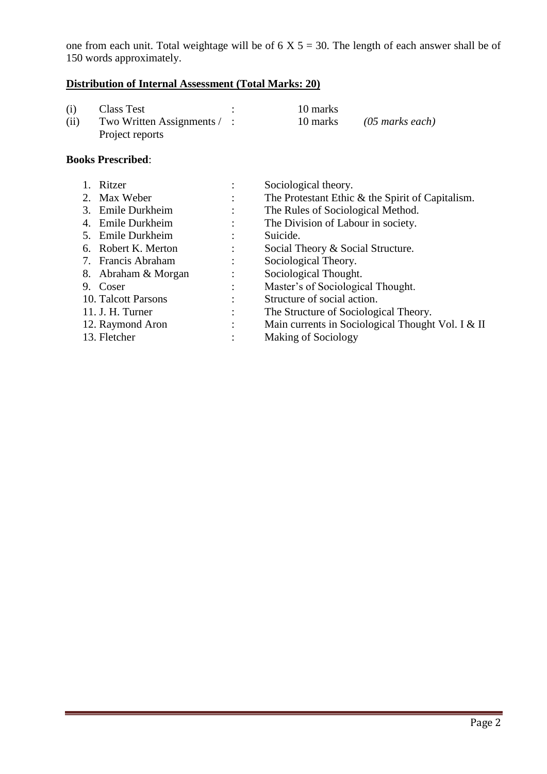one from each unit. Total weightage will be of  $6 \times 5 = 30$ . The length of each answer shall be of 150 words approximately.

# **Distribution of Internal Assessment (Total Marks: 20)**

| (i)  | Class Test                       | 10 marks |                 |
|------|----------------------------------|----------|-----------------|
| (ii) | Two Written Assignments $\ell$ : | 10 marks | (05 marks each) |
|      | Project reports                  |          |                 |

| 1. Ritzer           | Sociological theory.                              |
|---------------------|---------------------------------------------------|
| 2. Max Weber        | The Protestant Ethic & the Spirit of Capitalism.  |
| 3. Emile Durkheim   | The Rules of Sociological Method.                 |
| 4. Emile Durkheim   | The Division of Labour in society.                |
| 5. Emile Durkheim   | Suicide.                                          |
| 6. Robert K. Merton | Social Theory & Social Structure.                 |
| 7. Francis Abraham  | Sociological Theory.                              |
| 8. Abraham & Morgan | Sociological Thought.                             |
| 9. Coser            | Master's of Sociological Thought.                 |
| 10. Talcott Parsons | Structure of social action.                       |
| 11. J. H. Turner    | The Structure of Sociological Theory.             |
| 12. Raymond Aron    | Main currents in Sociological Thought Vol. I & II |
| 13. Fletcher        | <b>Making of Sociology</b>                        |
|                     |                                                   |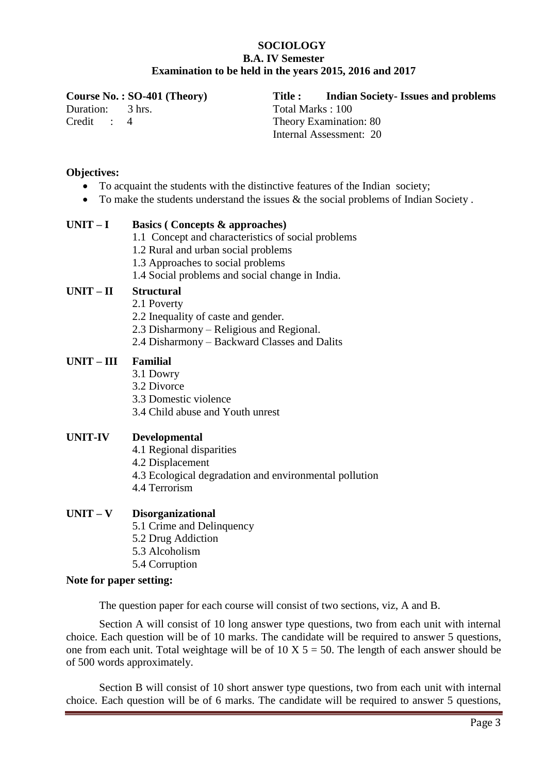## **SOCIOLOGY B.A. IV Semester Examination to be held in the years 2015, 2016 and 2017**

Duration: 3 hrs.

Credit : 4

**Course No. : SO-401 (Theory) Title : Indian Society- Issues and problems** Total Marks : 100 Theory Examination: 80 Internal Assessment: 20

## **Objectives:**

- To acquaint the students with the distinctive features of the Indian society;
- To make the students understand the issues & the social problems of Indian Society.

## **UNIT – I Basics ( Concepts & approaches)**

- 1.1 Concept and characteristics of social problems
- 1.2 Rural and urban social problems
- 1.3 Approaches to social problems
- 1.4 Social problems and social change in India.

## **UNIT – II Structural**

- 2.1 Poverty
- 2.2 Inequality of caste and gender.
- 2.3 Disharmony Religious and Regional.
- 2.4 Disharmony Backward Classes and Dalits

## **UNIT – III Familial**

- 3.1 Dowry
- 3.2 Divorce
- 3.3 Domestic violence
- 3.4 Child abuse and Youth unrest

## **UNIT-IV Developmental**

- 4.1 Regional disparities
- 4.2 Displacement
- 4.3 Ecological degradation and environmental pollution
- 4.4 Terrorism

## **UNIT – V Disorganizational**

- 5.1 Crime and Delinquency
- 5.2 Drug Addiction
- 5.3 Alcoholism
- 5.4 Corruption

## **Note for paper setting:**

The question paper for each course will consist of two sections, viz, A and B.

Section A will consist of 10 long answer type questions, two from each unit with internal choice. Each question will be of 10 marks. The candidate will be required to answer 5 questions, one from each unit. Total weightage will be of 10 X  $5 = 50$ . The length of each answer should be of 500 words approximately.

Section B will consist of 10 short answer type questions, two from each unit with internal choice. Each question will be of 6 marks. The candidate will be required to answer 5 questions,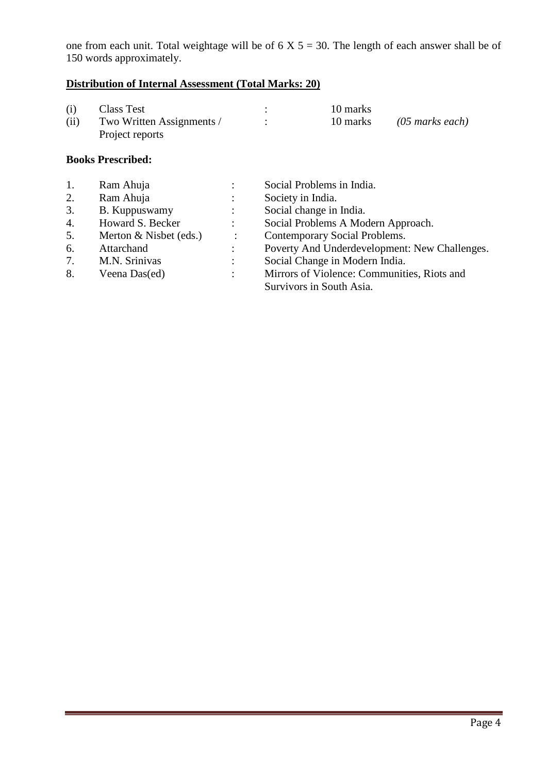one from each unit. Total weightage will be of  $6 \times 5 = 30$ . The length of each answer shall be of 150 words approximately.

# **Distribution of Internal Assessment (Total Marks: 20)**

| (i)  | Class Test                | 10 marks |                 |
|------|---------------------------|----------|-----------------|
| (ii) | Two Written Assignments / | 10 marks | (05 marks each) |
|      | Project reports           |          |                 |

| 1. | Ram Ahuja              | $\bullet$            | Social Problems in India.                     |
|----|------------------------|----------------------|-----------------------------------------------|
| 2. | Ram Ahuja              | $\ddot{\phantom{0}}$ | Society in India.                             |
| 3. | B. Kuppuswamy          | $\ddot{\cdot}$       | Social change in India.                       |
| 4. | Howard S. Becker       | $\mathcal{L}$        | Social Problems A Modern Approach.            |
| 5. | Merton & Nisbet (eds.) | $\ddot{\phantom{0}}$ | Contemporary Social Problems.                 |
| 6. | Attarchand             | $\ddot{\phantom{a}}$ | Poverty And Underdevelopment: New Challenges. |
| 7. | M.N. Srinivas          |                      | Social Change in Modern India.                |
| 8. | Veena Das(ed)          | $\ddot{\phantom{0}}$ | Mirrors of Violence: Communities, Riots and   |
|    |                        |                      | Survivors in South Asia.                      |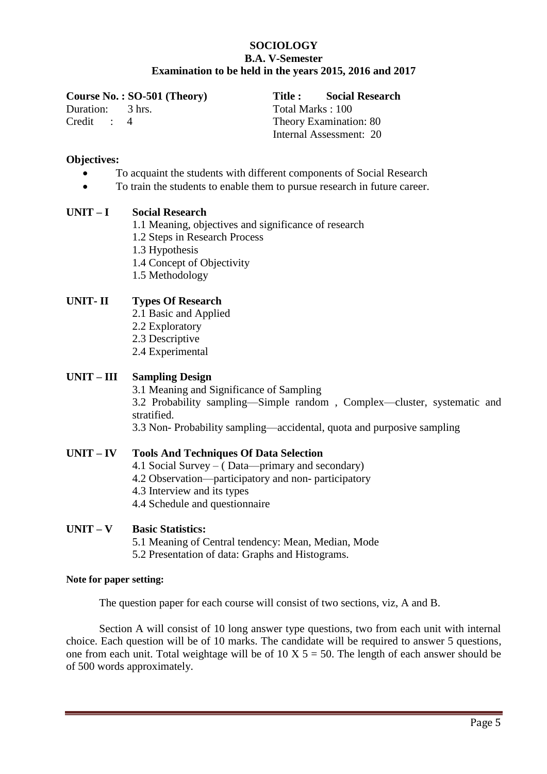## **SOCIOLOGY B.A. V-Semester Examination to be held in the years 2015, 2016 and 2017**

**Course No. : SO-501 (Theory) Title : Social Research**  Duration: 3 hrs. Credit : 4

Total Marks : 100 Theory Examination: 80 Internal Assessment: 20

## **Objectives:**

- To acquaint the students with different components of Social Research
	- To train the students to enable them to pursue research in future career.

## **UNIT – I Social Research**

- 1.1 Meaning, objectives and significance of research
- 1.2 Steps in Research Process
- 1.3 Hypothesis
- 1.4 Concept of Objectivity
- 1.5 Methodology

## **UNIT- II Types Of Research**

- 2.1 Basic and Applied
- 2.2 Exploratory
- 2.3 Descriptive
- 2.4 Experimental

## **UNIT – III Sampling Design**

3.1 Meaning and Significance of Sampling 3.2 Probability sampling—Simple random , Complex—cluster, systematic and stratified.

3.3 Non- Probability sampling—accidental, quota and purposive sampling

#### **UNIT – IV Tools And Techniques Of Data Selection**

- 4.1 Social Survey ( Data—primary and secondary)
- 4.2 Observation—participatory and non- participatory
- 4.3 Interview and its types
- 4.4 Schedule and questionnaire

## **UNIT – V Basic Statistics:**

- 5.1 Meaning of Central tendency: Mean, Median, Mode
- 5.2 Presentation of data: Graphs and Histograms.

#### **Note for paper setting:**

The question paper for each course will consist of two sections, viz, A and B.

Section A will consist of 10 long answer type questions, two from each unit with internal choice. Each question will be of 10 marks. The candidate will be required to answer 5 questions, one from each unit. Total weightage will be of 10 X  $5 = 50$ . The length of each answer should be of 500 words approximately.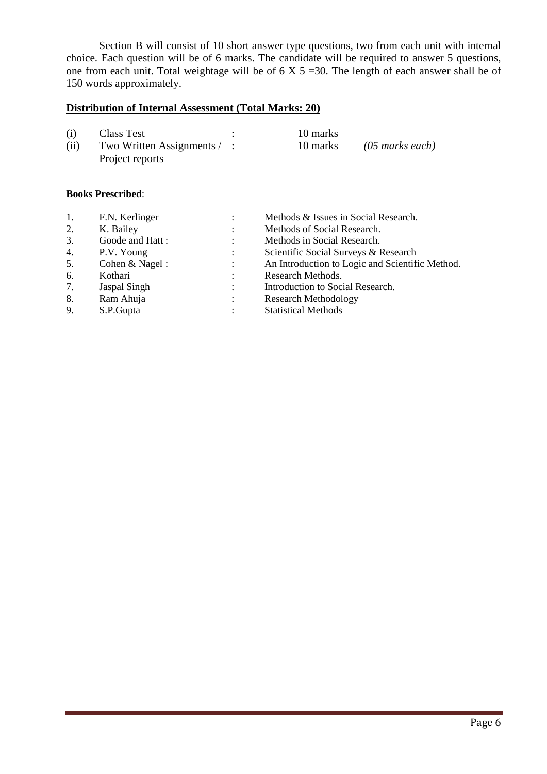Section B will consist of 10 short answer type questions, two from each unit with internal choice. Each question will be of 6 marks. The candidate will be required to answer 5 questions, one from each unit. Total weightage will be of  $6 \times 5 = 30$ . The length of each answer shall be of 150 words approximately.

# **Distribution of Internal Assessment (Total Marks: 20)**

| (i)  | Class Test                         | 10 marks |                 |
|------|------------------------------------|----------|-----------------|
| (ii) | Two Written Assignments $\angle$ : | 10 marks | (05 marks each) |
|      | Project reports                    |          |                 |

| 1. | F.N. Kerlinger  | Methods & Issues in Social Research.            |
|----|-----------------|-------------------------------------------------|
| 2. | K. Bailey       | Methods of Social Research.                     |
| 3. | Goode and Hatt: | Methods in Social Research.                     |
| 4. | P.V. Young      | Scientific Social Surveys & Research            |
| 5. | Cohen & Nagel:  | An Introduction to Logic and Scientific Method. |
| 6. | Kothari         | Research Methods.                               |
| 7. | Jaspal Singh    | Introduction to Social Research.                |
| 8. | Ram Ahuja       | <b>Research Methodology</b>                     |
| 9. | S.P.Gupta       | <b>Statistical Methods</b>                      |
|    |                 |                                                 |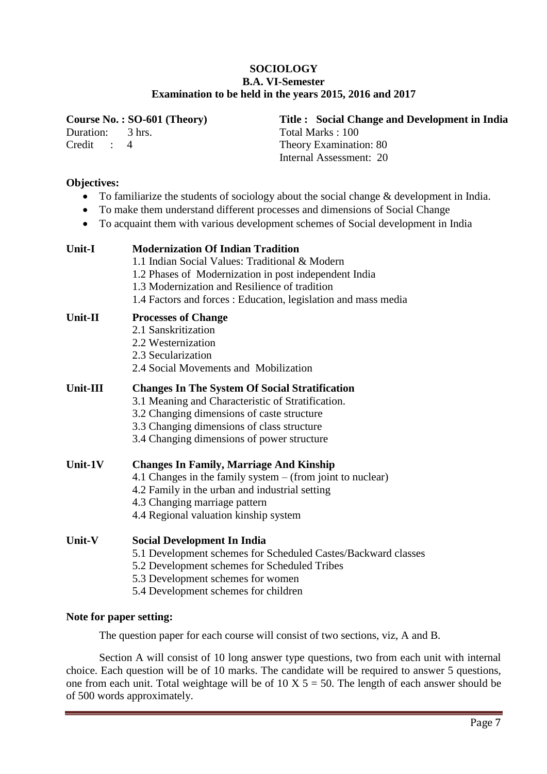## **SOCIOLOGY B.A. VI-Semester Examination to be held in the years 2015, 2016 and 2017**

Duration: 3 hrs. Credit : 4

#### **Course No. : SO-601 (Theory) Title : Social Change and Development in India**  Total Marks : 100 Theory Examination: 80 Internal Assessment: 20

## **Objectives:**

- To familiarize the students of sociology about the social change & development in India.
- To make them understand different processes and dimensions of Social Change
- To acquaint them with various development schemes of Social development in India

| <b>Unit-I</b> | <b>Modernization Of Indian Tradition</b><br>1.1 Indian Social Values: Traditional & Modern<br>1.2 Phases of Modernization in post independent India<br>1.3 Modernization and Resilience of tradition<br>1.4 Factors and forces : Education, legislation and mass media |
|---------------|------------------------------------------------------------------------------------------------------------------------------------------------------------------------------------------------------------------------------------------------------------------------|
| Unit-II       | <b>Processes of Change</b><br>2.1 Sanskritization<br>2.2 Westernization<br>2.3 Secularization<br>2.4 Social Movements and Mobilization                                                                                                                                 |
| Unit-III      | <b>Changes In The System Of Social Stratification</b><br>3.1 Meaning and Characteristic of Stratification.<br>3.2 Changing dimensions of caste structure<br>3.3 Changing dimensions of class structure<br>3.4 Changing dimensions of power structure                   |
| Unit- $1V$    | <b>Changes In Family, Marriage And Kinship</b><br>4.1 Changes in the family system – (from joint to nuclear)<br>4.2 Family in the urban and industrial setting<br>4.3 Changing marriage pattern<br>4.4 Regional valuation kinship system                               |
| Unit-V        | <b>Social Development In India</b><br>5.1 Development schemes for Scheduled Castes/Backward classes<br>5.2 Development schemes for Scheduled Tribes<br>5.3 Development schemes for women<br>5.4 Development schemes for children                                       |
|               |                                                                                                                                                                                                                                                                        |

## **Note for paper setting:**

The question paper for each course will consist of two sections, viz, A and B.

Section A will consist of 10 long answer type questions, two from each unit with internal choice. Each question will be of 10 marks. The candidate will be required to answer 5 questions, one from each unit. Total weightage will be of  $10 \text{ X } 5 = 50$ . The length of each answer should be of 500 words approximately.